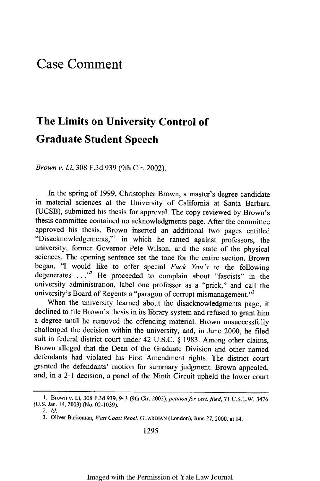## **Case Comment**

## **The Limits on University Control of Graduate Student Speech**

Brown v. *Li,* 308 F.3d 939 (9th Cir. 2002).

In the spring of 1999, Christopher Brown, a master's degree candidate in material sciences at the University of California at Santa Barbara (UCSB), submitted his thesis for approval. The copy reviewed by Brown's thesis committee contained no acknowledgments page. After the committee approved his thesis, Brown inserted an additional two pages entitled "Disacknowledgements,"' in which he ranted against professors, the university, former Governor Pete Wilson, and the state of the physical sciences. The opening sentence set the tone for the entire section. Brown began, **"I** would like to offer special *Fuck You's* to the following degenerates **....** He proceeded to complain about "fascists" in the university administration, label one professor as a "prick," and call the university's Board of Regents a "paragon of corrupt mismanagement."<sup>3</sup>

When the university learned about the disacknowledgments page, it declined to file Brown's thesis in its library system and refused to grant him a degree until he removed the offending material. Brown unsuccessfully challenged the decision within the university, and, in June 2000, he filed suit in federal district court under 42 U.S.C. § 1983. Among other claims, Brown alleged that the Dean of the Graduate Division and other named defendants had violated his First Amendment rights. The district court granted the defendants' motion for summary judgment. Brown appealed, and, in a 2-1 decision, a panel of the Ninth Circuit upheld the lower court

**<sup>1.</sup>** Brown v. Li, 308 F.3d 939, 943 (9th Cir. 2002), *petition for cert.filed,* 71 U.S.L.W. 3476 (U.S. Jan. 14, 2003) (No. 02-1039).

*<sup>2.</sup> Id.*

<sup>3.</sup> Oliver Burkeman, *West Coast Rebel,* GUARDIAN (London), June 27, 2000, at 14.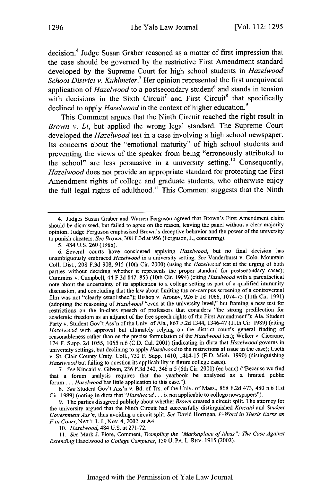decision.4 Judge Susan Graber reasoned as a matter of first impression that the case should be governed by the restrictive First Amendment standard developed by the Supreme Court for high school students in *Hazelwood School District v. Kuhlmeier.*<sup>5</sup> Her opinion represented the first unequivocal application of *Hazelwood* to a postsecondary student<sup>6</sup> and stands in tension with decisions in the Sixth Circuit<sup>7</sup> and First Circuit<sup>8</sup> that specifically declined to apply *Hazelwood* in the context of higher education.<sup>9</sup>

This Comment argues that the Ninth Circuit reached the right result in *Brown v. Li,* but applied the wrong legal standard. The Supreme Court developed the *Hazelwood* test in a case involving a high school newspaper. Its concerns about the "emotional maturity" of high school students and preventing the views of the speaker from being "erroneously attributed to the school" are less persuasive in a university setting.<sup>10</sup> Consequently, *Hazelwood* does not provide an appropriate standard for protecting the First Amendment rights of college and graduate students, who otherwise enjoy the full legal rights of adulthood." This Comment suggests that the Ninth

*7. See* Kincaid v. Gibson, 236 F.3d 342, 346 n.5 (6th Cir. 2001) (en banc) ("Because we find that a forum analysis requires that the yearbook be analyzed as a limited public forum **...** *Hazelwood* has little application to this case.").

*8. See* Student Gov't Ass'n v. Bd. of Trs. of the Univ. of Mass., 868 F.2d 473, 480 n.6 (1st Cir. 1989) (noting in dicta that *"Hazelwood...* is not applicable to college newspapers").

9. The parties disagreed publicly about whether *Brown* created a circuit split. The attorney for the university argued that the Ninth Circuit had successfully distinguished *Kincaid* and *Student Government Ass* "n, thus avoiding a circuit split. *See* David Horrigan, *F- Word in Thesis Earns an F in Court,* NAT'L L.J., Nov. 4, 2002, at A4.

10. *Hazelwood,* 484 U.S. at 271-72.

*11. See* Mark J. Fiore, Comment, *Trampling the "Marketplace of Ideas* **":** *The Case Against Extending* Hazelwood *to College Campuses, 150* U. PA. L. REV. 1915 (2002).

<sup>4.</sup> Judges Susan Graber and Warren Ferguson agreed that Brown's First Amendment claim should be dismissed, but failed to agree on the reason, leaving the panel without a clear majority opinion. Judge Ferguson emphasized Brown's deceptive behavior and the power of the university to punish cheaters. *See Brown,* 308 F.3d at 956 (Ferguson, J., concurring).

<sup>5. 484</sup> U.S. 260 (1988).

<sup>6.</sup> Several courts have considered applying *Hazelwood,* but no final decision has unambiguously embraced *Hazelwood* in a university setting. *See* Vanderhurst v. Colo. Mountain Coll. Dist., 208 F.3d 908, 915 (10th Cir. 2000) (using the *Hazelwood* test at the urging of both parties without deciding whether it represents the proper standard for postsecondary cases); Cummins v. Campbell, 44 F.3d 847, 853 (10th Cir. 1994) (citing *Hazelwood* with a parenthetical note about the uncertainty of its application to a college setting as part of a qualified immunity discussion, and concluding that the law about limiting the on-campus screening of a controversial film was not "clearly established"); Bishop v. Aronov, 926 F.2d 1066, 1074-75 **(11** th Cir. 1991) (adopting the reasoning of *Hazelwood* "even at the university level," but framing a new test for restrictions on the in-class speech of professors that considers "the strong predilection for academic freedom as an adjunct of the free speech rights of the First Amendment"); Ala. Student Party v. Student Gov't Ass'n of the Univ. of Ala., 867 F.2d 1344, 1346-47 **(11** th Cir. 1989) (citing *Hazelwood* with approval but ultimately relying on the district court's general finding of reasonableness rather than on the precise formulation of the *Hazelwood* test); Welker v. Cicerone, 174 F. Supp. 2d 1055, 1065 n.6 (C.D. Cal. 2001) (indicating in dicta that *Hazelwood* governs in university settings, but declining to apply *Hazelwood* to the restrictions at issue in the case); Lueth v. St. Clair County Cmty. Coll., 732 F. Supp. 1410, 1414-15 (E.D. Mich. 1990) (distinguishing *Hazelwood* but failing to question its applicability in future college cases).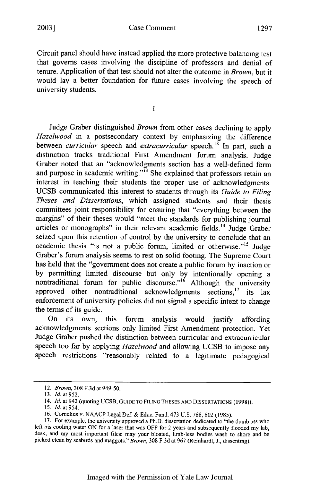Circuit panel should have instead applied the more protective balancing test that governs cases involving the discipline of professors and denial of tenure. Application of that test should not alter the outcome in *Brown,* but it would lay a better foundation for future cases involving the speech of university students.

I

Judge Graber distinguished *Brown* from other cases declining to apply *Hazelwood* in a postsecondary context by emphasizing the difference between *curricular* speech and *extracurricular* speech." In part, such a distinction tracks traditional First Amendment forum analysis. Judge Graber noted that an "acknowledgments section has a well-defined form and purpose in academic writing."<sup>13</sup> She explained that professors retain an interest in teaching their students the proper use of acknowledgments. UCSB communicated this interest to students through its *Guide to Filing Theses and Dissertations,* which assigned students and their thesis committees joint responsibility for ensuring that "everything between the margins" of their theses would "meet the standards for publishing journal articles or monographs" in their relevant academic fields.<sup>14</sup> Judge Graber seized upon this retention of control by the university to conclude that an academic thesis "is not a public forum, limited or otherwise."<sup>15</sup> Judge Graber's forum analysis seems to rest on solid footing. The Supreme Court has held that the "government does not create a public forum by inaction or by permitting limited discourse but only by intentionally opening a nontraditional forum for public discourse."<sup>16</sup> Although the university approved other nontraditional acknowledgments sections,  $17$  its lax enforcement of university policies did not signal a specific intent to change the terms of its guide.

On its own, this forum analysis would justify affording acknowledgments sections only limited First Amendment protection. Yet Judge Graber pushed the distinction between curricular and extracurricular speech too far by applying *Hazelwood* and allowing UCSB to impose any speech restrictions "reasonably related to a legitimate pedagogical

<sup>12.</sup> *Brown,* 308 F.3d at 949-50.

<sup>13.</sup> *Id.* at 952.

<sup>14.</sup> *Id.* at 942 (quoting UCSB, GUIDE TO **FILING THESES AND** DISSERTATIONS (1998)).

*<sup>15.</sup> Id.* at 954.

<sup>16.</sup> Cornelius v. NAACP Legal Def. & Educ. Fund, 473 U.S. 788, 802 (1985).

<sup>17.</sup> For example, the university approved a Ph.D. dissertation dedicated to "the dumb ass who left his cooling water ON for a laser that was OFF for 2 years and subsequently flooded my lab, desk, and my most important files: may your bloated, limb-less bodies wash to shore and be picked clean by seabirds and maggots." *Brown,* 308 F.3d at 967 (Reinhardt, J., dissenting).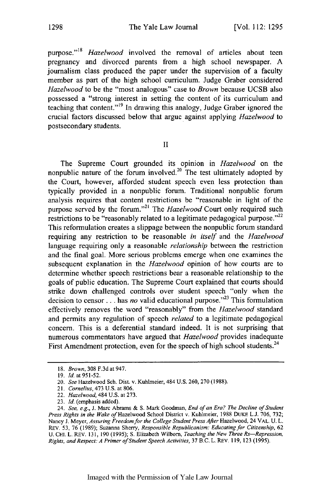purpose." <sup>18</sup>*Hazelwood* involved the removal of articles about teen pregnancy and divorced parents from a high school newspaper. A journalism class produced the paper under the supervision of a faculty member as part of the high school curriculum. Judge Graber considered *Hazelwood* to be the "most analogous" case to *Brown* because UCSB also possessed a "strong interest in setting the content of its curriculum and teaching that content."'19 In drawing this analogy, Judge Graber ignored the crucial factors discussed below that argue against applying *Hazelwood* to postsecondary students.

II

The Supreme Court grounded its opinion in *Hazelwood* on the nonpublic nature of the forum involved.<sup>20</sup> The test ultimately adopted by the Court, however, afforded student speech even less protection than typically provided in a nonpublic forum. Traditional nonpublic forum analysis requires that content restrictions be "reasonable in light of the purpose served by the forum."<sup>21</sup> The *Hazelwood* Court only required such restrictions to be "reasonably related to a legitimate pedagogical purpose." $^{22}$ This reformulation creates a slippage between the nonpublic forum standard requiring any restriction to be reasonable *in itself* and the *Hazelwood* language requiring only a reasonable *relationship* between the restriction and the final goal. More serious problems emerge when one examines the subsequent explanation in the *Hazelwood* opinion of how courts are to determine whether speech restrictions bear a reasonable relationship to the goals of public education. The Supreme Court explained that courts should strike down challenged controls over student speech "only when the decision to censor... has *no* valid educational purpose.<sup> $23$ </sup> This formulation effectively removes the word "reasonably" from the *Hazelwood* standard and permits any regulation of speech *related* to a legitimate pedagogical concern. This is a deferential standard indeed. It is not surprising that numerous commentators have argued that *Hazelwood* provides inadequate First Amendment protection, even for the speech of high school students.<sup>24</sup>

<sup>18.</sup> *Brown,* 308 F.3d at 947.

<sup>19.</sup> *Id.* at 951-52.

<sup>20.</sup> *See* Hazelwood Sch. Dist. v. Kuhlmeier, 484 U.S. 260, 270 (1988).

<sup>21.</sup> Cornelius, 473 U.S. at 806.

<sup>22.</sup> *Hazelwood,* 484 U.S. at 273.

<sup>23.</sup> *Id.* (emphasis added).

<sup>24.</sup> *See, e.g.,* J. Marc Abrams & S. Mark Goodman, *End of an Era? The Decline of Student Press Rights in the Wake of* Hazelwood School District v. Kuhlineier, 1988 DUKE L.J. 706, 732; Nancy J. Meyer, *Assuring Freedom for the College* Student Press *After* Hazelwood, 24 VAL. U. L. REv. 53, 76 (1989); Suzanna Sherry, *Responsible Republicanism: Educating for Citizenship,* 62 U. **CHI.** L. REV. 131, 190 (1995); S. Elizabeth Wilborn, *Teaching the New Three Rs-Repression, Rights, and Respect: A Primer of Student Speech Activities,* 37 B.C. L. REV. 119, 123 (1995).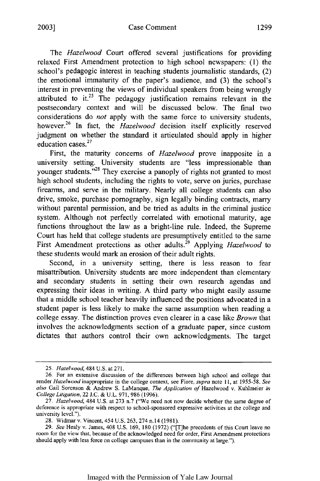The *Hazelwood* Court offered several justifications for providing relaxed First Amendment protection to high school newspapers: (1) the school's pedagogic interest in teaching students journalistic standards, (2) the emotional immaturity of the paper's audience, and (3) the school's interest in preventing the views of individual speakers from being wrongly attributed to it.<sup>25</sup> The pedagogy justification remains relevant in the postsecondary context and will be discussed below. The final two considerations do *not* apply with the same force to university students, however.<sup>26</sup> In fact, the *Hazelwood* decision itself explicitly reserved judgment on whether the standard it articulated should apply in higher education cases.<sup>27</sup>

First, the maturity concerns of *Hazelwood* prove inapposite in a university setting. University students are "less impressionable than younger students."<sup>28</sup> They exercise a panoply of rights not granted to most high school students, including the rights to vote, serve on juries, purchase firearms, and serve in the military. Nearly all college students can also drive, smoke, purchase pornography, sign legally binding contracts, marry without parental permission, and be tried as adults in the criminal justice system. Although not perfectly correlated with emotional maturity, age functions throughout the law as a bright-line rule. Indeed, the Supreme Court has held that college students are presumptively entitled to the same First Amendment protections as other adults.<sup>29</sup> Applying *Hazelwood* to these students would mark an erosion of their adult rights.

Second, in a university setting, there is less reason to fear misattribution. University students are more independent than elementary and secondary students in setting their own research agendas and expressing their ideas in writing. A third party who might easily assume that a middle school teacher heavily influenced the positions advocated in a student paper is less likely to make the same assumption when reading a college essay. The distinction proves even clearer in a case like *Brown* that involves the acknowledgments section of a graduate paper, since custom dictates that authors control their own acknowledgments. The target

*<sup>25.</sup> Hazelwood,* 484 U.S. at 271.

**<sup>26.</sup>** For an extensive discussion of the differences between high school and college that render *Hazelwood* inappropriate in the college context, see Fiore, *supra* note 11, at 1955-58. *See also* Gail Sorenson & Andrew S. LaManque, *The Application of* Hazelwood v. Kuhlmeier *in College Litigation,* 22 J.C. & U.L. 971, 986 (1996).

*<sup>27,</sup> Hazelwood,* 484 U.S. at 273 n.7 ("We need not now decide whether the same degree of deference is appropriate with respect to school-sponsored expressive activities at the college and university level.").

<sup>28.</sup> Widmar v. Vincent, 454 U.S. 263, 274 n. 14 (1981).

<sup>29.</sup> *See* Healy v. James, 408 U.S. 169, 180 (1972) ("[T]he precedents of this Court leave no room for the view that, because of the acknowledged need for order, First Amendment protections should apply with less force on college campuses than in the community at large.").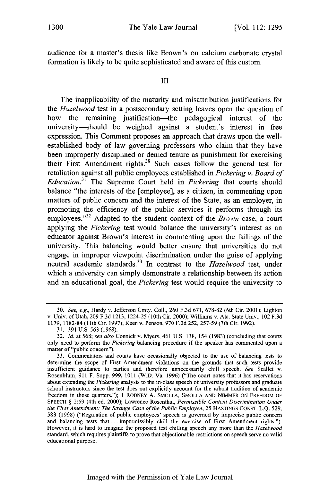audience for a master's thesis like Brown's on calcium carbonate crystal formation is likely to be quite sophisticated and aware of this custom.

## III

The inapplicability of the maturity and misattribution justifications for the *Hazelwood* test in a postsecondary setting leaves open the question of how the remaining justification—the pedagogical interest of the university-should be weighed against a student's interest in free expression. This Comment proposes an approach that draws upon the wellestablished body of law governing professors who claim that they have been improperly disciplined or denied tenure as punishment for exercising their First Amendment rights.<sup>30</sup> Such cases follow the general test for retaliation against all public employees established in *Pickering v. Board of Education.31* The Supreme Court held in *Pickering* that courts should balance "the interests of the [employee], as a citizen, in commenting upon matters of public concern and the interest of the State, as an employer, in promoting the efficiency of the public services it performs through its employees."<sup>32</sup> Adapted to the student context of the *Brown* case, a court applying the *Pickering* test would balance the university's interest as an educator against Brown's interest in commenting upon the failings of the university. This balancing would better ensure that universities do not engage in improper viewpoint discrimination under the guise of applying neutral academic standards.33 In contrast to the *Hazelwood* test, under which a university can simply demonstrate a relationship between its action and an educational goal, the *Pickering* test would require the university to

<sup>30.</sup> *See, e.g.,* Hardy v. Jefferson Cmty. Coll., 260 F.3d 671, 678-82 (6th Cir. 2001); Lighton v. Univ. of Utah, 209 F.3d 1213, 1224-25 (10th Cir. 2000); Williams v. Ala. State Univ., 102 F.3d 1179, 1182-84 (1 1th Cir. 1997); Keen v. Penson, 970 F.2d 252, 257-59 (7th Cir. 1992).

<sup>31. 391</sup> U.S. 563 (1968).

<sup>32.</sup> *Id.* at 568; *see also* Connick v. Myers, 461 U.S. 138, 154 (1983) (concluding that courts only need to perform the *Pickering* balancing procedure if the speaker has commented upon a matter of "public concern").

<sup>33.</sup> Commentators and courts have occasionally objected to the use of balancing tests to determine the scope of First Amendment violations on the grounds that such tests provide insufficient guidance to parties and therefore unnecessarily chill speech. *See* Scallet v. Rosenblum, 911 F. Supp. 999, 1011 (W.D. Va. 1996) ("The court notes that it has reservations about extending the *Pickering* analysis to the in-class speech of university professors and graduate school instructors since the test does not explicitly account for the robust tradition of academic freedom in those quarters."); 1 RODNEY A. SMOLLA, SMOLLA AND NIMMER ON FREEDOM OF SPEECH § 2:59 (4th ed. 2000); Lawrence Rosenthal, *Permissible Content Discrimination Under the First Amendment: The Strange Case of the Public Employee,* 25 HASTINGS CONST. L.Q. 529, 583 (1998) ("Regulation of public employees' speech is governed by imprecise public concern and balancing tests that... impermissibly chill the exercise of First Amendment rights."). However, it is hard to imagine the proposed test chilling speech any more than the *Hazelwood* standard, which requires plaintiffs to prove that objectionable restrictions on speech serve no valid educational purpose.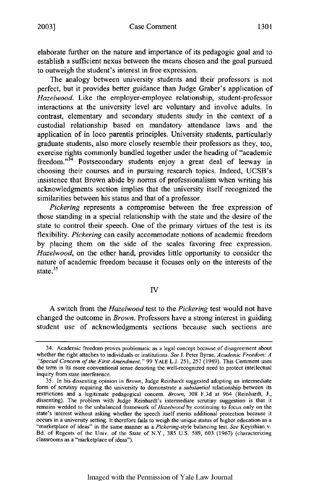elaborate further on the nature and importance of its pedagogic goal and to establish a sufficient nexus between the means chosen and the goal pursued to outweigh the student's interest in free expression.

The analogy between university students and their professors is not perfect, but it provides better guidance than Judge Graber's application of *Hazelwood.* Like the employer-employee relationship, student-professor interactions at the university level are voluntary and involve adults. In contrast, elementary and secondary students study in the context of a custodial relationship based on mandatory attendance laws and the application of in loco parentis principles. University students, particularly graduate students, also more closely resemble their professors as they, too, exercise rights commonly bundled together under the heading of "academic freedom."<sup>34</sup> Postsecondary students enjoy a great deal of leeway in choosing their courses and in pursuing research topics. Indeed, UCSB's insistence that Brown abide by norms of professionalism when writing his acknowledgments section implies that the university itself recognized the similarities between his status and that of a professor.

*Pickering* represents a compromise between the free expression of those standing in a special relationship with the state and the desire of the state to control their speech. One of the primary virtues of the test is its flexibility. *Pickering* can easily accommodate notions of academic freedom by placing them on the side of the scales favoring free expression. *Hazelwood,* on the other hand, provides little opportunity to consider the nature of academic freedom because it focuses only on the interests of the state. $35$ 

## IV

A switch from the *Hazelwood* test to the *Pickering* test would not have changed the outcome in *Brown.* Professors have a strong interest in guiding student use of acknowledgments sections because such sections are

<sup>34.</sup> Academic freedom proves problematic as a legal concept because of disagreement about whether the right attaches to individuals or institutions. *See* J. Peter Byrne, *Academic Freedom: A "Special Concern of the First Amendment,"* 99 YALE L.J. 251, 257 (1989). This Comment uses the term in its more conventional sense denoting the well-recognized need to protect intellectual inquiry from state interference.

<sup>35.</sup> In his dissenting opinion in *Brown,* Judge Reinhardt suggested adopting an intermediate form of scrutiny requiring the university to demonstrate a *substantial* relationship between its restrictions and a legitimate pedagogical concern. *Brown,* 308 F.3d at 964 (Reinhardt, J., dissenting). The problem with Judge Reinhardt's intermediate scrutiny suggestion is that it remains wedded to the unbalanced framework of *Hazelwood* by continuing to focus only on the state's interest without asking whether the speech itself merits additional protection because it occurs in a university setting. It therefore fails to weigh the unique status of higher education as a "marketplace of ideas" in the same manner as a *Pickering-style* balancing test. *See* Keyishian v. Bd. of Regents of the Univ. of the State of N.Y., 385 U.S. 589, 603 (1967) (characterizing classrooms as a "marketplace of ideas").